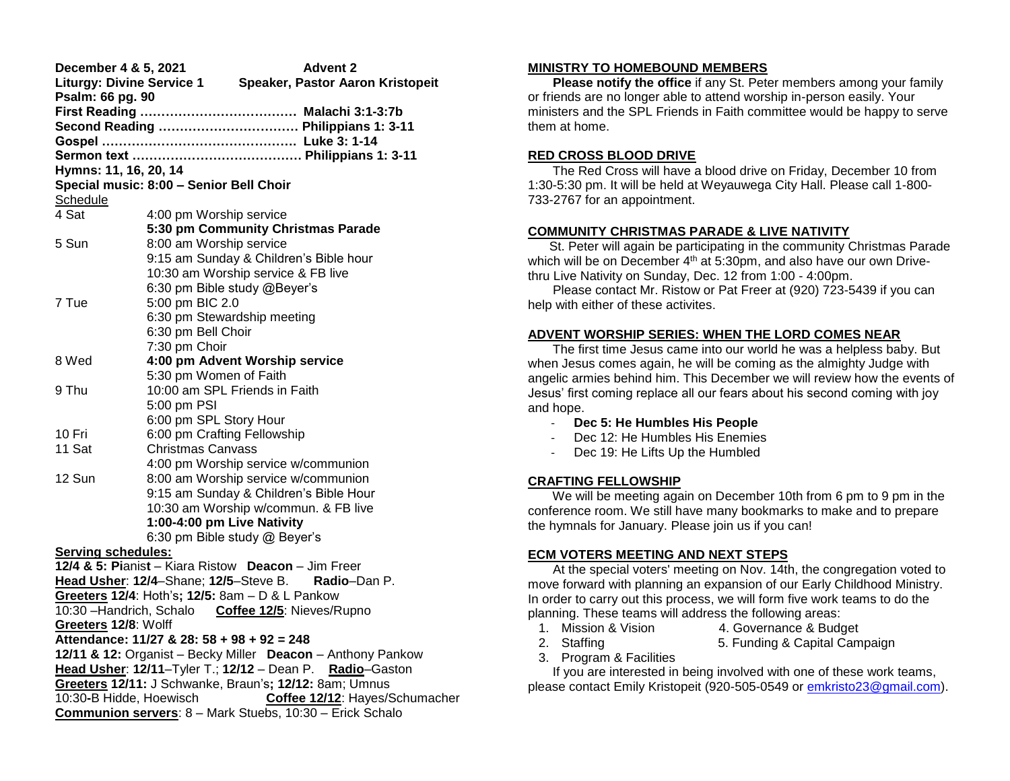| December 4 & 5, 2021<br><b>Advent 2</b>                              |                                                       |  |  |  |
|----------------------------------------------------------------------|-------------------------------------------------------|--|--|--|
| <b>Liturgy: Divine Service 1</b><br>Speaker, Pastor Aaron Kristopeit |                                                       |  |  |  |
| Psalm: 66 pg. 90                                                     |                                                       |  |  |  |
|                                                                      |                                                       |  |  |  |
|                                                                      | Second Reading  Philippians 1: 3-11                   |  |  |  |
|                                                                      |                                                       |  |  |  |
|                                                                      |                                                       |  |  |  |
| Hymns: 11, 16, 20, 14                                                |                                                       |  |  |  |
|                                                                      | Special music: 8:00 - Senior Bell Choir               |  |  |  |
| Schedule                                                             |                                                       |  |  |  |
| 4 Sat                                                                | 4:00 pm Worship service                               |  |  |  |
|                                                                      | 5:30 pm Community Christmas Parade                    |  |  |  |
| 5 Sun                                                                | 8:00 am Worship service                               |  |  |  |
|                                                                      | 9:15 am Sunday & Children's Bible hour                |  |  |  |
|                                                                      | 10:30 am Worship service & FB live                    |  |  |  |
|                                                                      | 6:30 pm Bible study @Beyer's                          |  |  |  |
| 7 Tue                                                                | 5:00 pm BIC 2.0                                       |  |  |  |
|                                                                      | 6:30 pm Stewardship meeting                           |  |  |  |
|                                                                      | 6:30 pm Bell Choir                                    |  |  |  |
|                                                                      | 7:30 pm Choir                                         |  |  |  |
| 8 Wed                                                                | 4:00 pm Advent Worship service                        |  |  |  |
|                                                                      | 5:30 pm Women of Faith                                |  |  |  |
| 9 Thu                                                                | 10:00 am SPL Friends in Faith                         |  |  |  |
|                                                                      | 5:00 pm PSI                                           |  |  |  |
|                                                                      | 6:00 pm SPL Story Hour                                |  |  |  |
| 10 Fri                                                               | 6:00 pm Crafting Fellowship                           |  |  |  |
| 11 Sat                                                               | <b>Christmas Canvass</b>                              |  |  |  |
|                                                                      | 4:00 pm Worship service w/communion                   |  |  |  |
| 12 Sun                                                               | 8:00 am Worship service w/communion                   |  |  |  |
|                                                                      | 9:15 am Sunday & Children's Bible Hour                |  |  |  |
|                                                                      | 10:30 am Worship w/commun. & FB live                  |  |  |  |
|                                                                      | 1:00-4:00 pm Live Nativity                            |  |  |  |
|                                                                      | 6:30 pm Bible study @ Beyer's                         |  |  |  |
| Serving schedules:                                                   |                                                       |  |  |  |
|                                                                      | 12/4 & 5: Pianist - Kiara Ristow Deacon - Jim Freer   |  |  |  |
|                                                                      | Head Usher: 12/4-Shane; 12/5-Steve B.<br>Radio-Dan P. |  |  |  |
|                                                                      | Greeters 12/4: Hoth's; 12/5: 8am - D & L Pankow       |  |  |  |
|                                                                      | 10:30 - Handrich, Schalo Coffee 12/5: Nieves/Rupno    |  |  |  |
| Greeters 12/8: Wolff                                                 |                                                       |  |  |  |
| Attendance: 11/27 & 28: 58 + 98 + 92 = 248                           |                                                       |  |  |  |
| 12/11 & 12: Organist - Becky Miller Deacon - Anthony Pankow          |                                                       |  |  |  |
| Head Usher: 12/11-Tyler T.; 12/12 - Dean P. Radio-Gaston             |                                                       |  |  |  |
| Greeters 12/11: J Schwanke, Braun's; 12/12: 8am; Umnus               |                                                       |  |  |  |
| 10:30-B Hidde, Hoewisch<br>Coffee 12/12: Hayes/Schumacher            |                                                       |  |  |  |
| Communion servers: 8 - Mark Stuebs, 10:30 - Erick Schalo             |                                                       |  |  |  |

### **MINISTRY TO HOMEBOUND MEMBERS**

 **Please notify the office** if any St. Peter members among your family or friends are no longer able to attend worship in-person easily. Your ministers and the SPL Friends in Faith committee would be happy to serve them at home.

## **RED CROSS BLOOD DRIVE**

 The Red Cross will have a blood drive on Friday, December 10 from 1:30-5:30 pm. It will be held at Weyauwega City Hall. Please call 1-800- 733-2767 for an appointment.

# **COMMUNITY CHRISTMAS PARADE & LIVE NATIVITY**

 St. Peter will again be participating in the community Christmas Parade which will be on December 4<sup>th</sup> at 5:30pm, and also have our own Drivethru Live Nativity on Sunday, Dec. 12 from 1:00 - 4:00pm.

 Please contact Mr. Ristow or Pat Freer at (920) 723-5439 if you can help with either of these activites.

## **ADVENT WORSHIP SERIES: WHEN THE LORD COMES NEAR**

 The first time Jesus came into our world he was a helpless baby. But when Jesus comes again, he will be coming as the almighty Judge with angelic armies behind him. This December we will review how the events of Jesus' first coming replace all our fears about his second coming with joy and hope.

- **Dec 5: He Humbles His People**
- Dec 12: He Humbles His Enemies
- Dec 19: He Lifts Up the Humbled

# **CRAFTING FELLOWSHIP**

 We will be meeting again on December 10th from 6 pm to 9 pm in the conference room. We still have many bookmarks to make and to prepare the hymnals for January. Please join us if you can!

# **ECM VOTERS MEETING AND NEXT STEPS**

 At the special voters' meeting on Nov. 14th, the congregation voted to move forward with planning an expansion of our Early Childhood Ministry. In order to carry out this process, we will form five work teams to do the planning. These teams will address the following areas:

- 
- 1. Mission & Vision 4. Governance & Budget
- 2. Staffing 5. Funding & Capital Campaign
- 3. Program & Facilities

 If you are interested in being involved with one of these work teams, please contact Emily Kristopeit (920-505-0549 or [emkristo23@gmail.com\)](mailto:emkristo23@gmail.com).